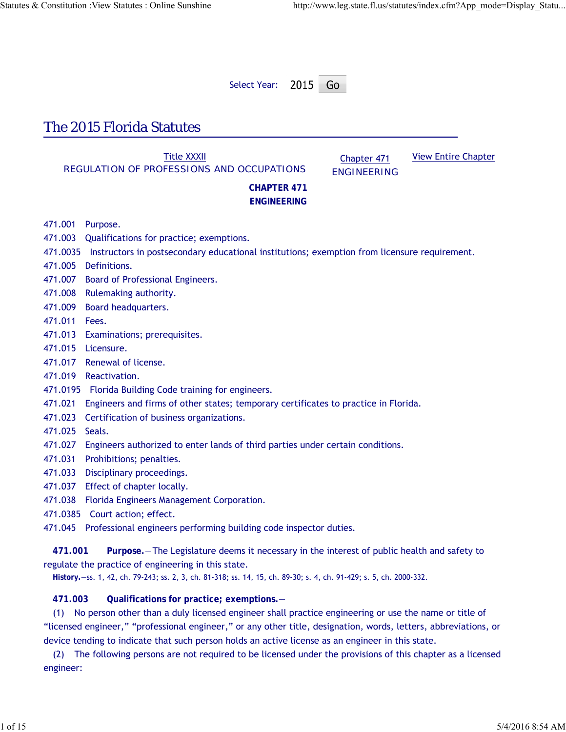Select Year: 2015 Go

# The 2015 Florida Statutes

Title XXXII REGULATION OF PROFESSIONS AND OCCUPATIONS

Chapter 471 ENGINEERING View Entire Chapter

## **CHAPTER 471 ENGINEERING**

471.001 Purpose.

- 471.003 Qualifications for practice; exemptions.
- 471.0035 Instructors in postsecondary educational institutions; exemption from licensure requirement.
- 471.005 Definitions.
- 471.007 Board of Professional Engineers.
- 471.008 Rulemaking authority.
- 471.009 Board headquarters.
- 471.011 Fees.
- 471.013 Examinations; prerequisites.
- 471.015 Licensure.
- 471.017 Renewal of license.
- 471.019 Reactivation.
- 471.0195 Florida Building Code training for engineers.
- 471.021 Engineers and firms of other states; temporary certificates to practice in Florida.
- 471.023 Certification of business organizations.
- 471.025 Seals.
- 471.027 Engineers authorized to enter lands of third parties under certain conditions.
- 471.031 Prohibitions; penalties.
- 471.033 Disciplinary proceedings.
- 471.037 Effect of chapter locally.
- 471.038 Florida Engineers Management Corporation.
- 471.0385 Court action; effect.
- 471.045 Professional engineers performing building code inspector duties.

**471.001 Purpose.**—The Legislature deems it necessary in the interest of public health and safety to regulate the practice of engineering in this state.

**History.**—ss. 1, 42, ch. 79-243; ss. 2, 3, ch. 81-318; ss. 14, 15, ch. 89-30; s. 4, ch. 91-429; s. 5, ch. 2000-332.

**471.003 Qualifications for practice; exemptions.**—

(1) No person other than a duly licensed engineer shall practice engineering or use the name or title of "licensed engineer," "professional engineer," or any other title, designation, words, letters, abbreviations, or device tending to indicate that such person holds an active license as an engineer in this state.

(2) The following persons are not required to be licensed under the provisions of this chapter as a licensed engineer: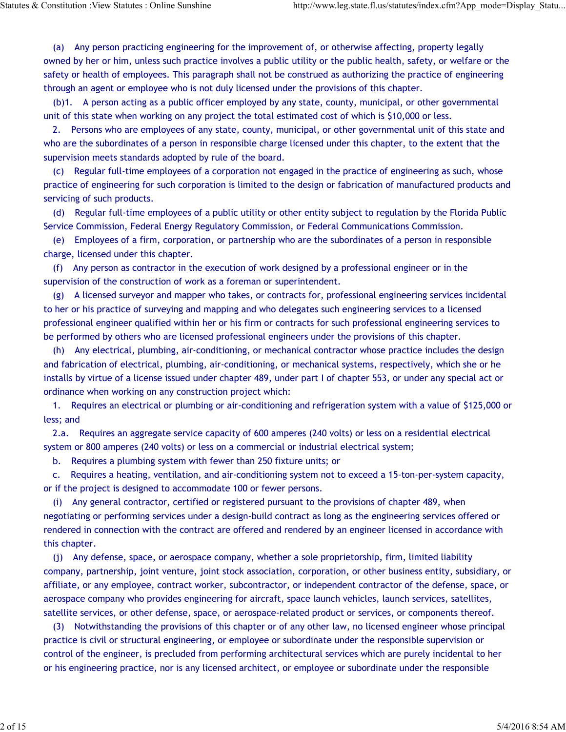(a) Any person practicing engineering for the improvement of, or otherwise affecting, property legally owned by her or him, unless such practice involves a public utility or the public health, safety, or welfare or the safety or health of employees. This paragraph shall not be construed as authorizing the practice of engineering through an agent or employee who is not duly licensed under the provisions of this chapter.

(b)1. A person acting as a public officer employed by any state, county, municipal, or other governmental unit of this state when working on any project the total estimated cost of which is \$10,000 or less.

2. Persons who are employees of any state, county, municipal, or other governmental unit of this state and who are the subordinates of a person in responsible charge licensed under this chapter, to the extent that the supervision meets standards adopted by rule of the board.

(c) Regular full-time employees of a corporation not engaged in the practice of engineering as such, whose practice of engineering for such corporation is limited to the design or fabrication of manufactured products and servicing of such products.

(d) Regular full-time employees of a public utility or other entity subject to regulation by the Florida Public Service Commission, Federal Energy Regulatory Commission, or Federal Communications Commission.

(e) Employees of a firm, corporation, or partnership who are the subordinates of a person in responsible charge, licensed under this chapter.

(f) Any person as contractor in the execution of work designed by a professional engineer or in the supervision of the construction of work as a foreman or superintendent.

(g) A licensed surveyor and mapper who takes, or contracts for, professional engineering services incidental to her or his practice of surveying and mapping and who delegates such engineering services to a licensed professional engineer qualified within her or his firm or contracts for such professional engineering services to be performed by others who are licensed professional engineers under the provisions of this chapter.

(h) Any electrical, plumbing, air-conditioning, or mechanical contractor whose practice includes the design and fabrication of electrical, plumbing, air-conditioning, or mechanical systems, respectively, which she or he installs by virtue of a license issued under chapter 489, under part I of chapter 553, or under any special act or ordinance when working on any construction project which:

1. Requires an electrical or plumbing or air-conditioning and refrigeration system with a value of \$125,000 or less; and

2.a. Requires an aggregate service capacity of 600 amperes (240 volts) or less on a residential electrical system or 800 amperes (240 volts) or less on a commercial or industrial electrical system;

b. Requires a plumbing system with fewer than 250 fixture units; or

c. Requires a heating, ventilation, and air-conditioning system not to exceed a 15-ton-per-system capacity, or if the project is designed to accommodate 100 or fewer persons.

(i) Any general contractor, certified or registered pursuant to the provisions of chapter 489, when negotiating or performing services under a design-build contract as long as the engineering services offered or rendered in connection with the contract are offered and rendered by an engineer licensed in accordance with this chapter.

(j) Any defense, space, or aerospace company, whether a sole proprietorship, firm, limited liability company, partnership, joint venture, joint stock association, corporation, or other business entity, subsidiary, or affiliate, or any employee, contract worker, subcontractor, or independent contractor of the defense, space, or aerospace company who provides engineering for aircraft, space launch vehicles, launch services, satellites, satellite services, or other defense, space, or aerospace-related product or services, or components thereof.

(3) Notwithstanding the provisions of this chapter or of any other law, no licensed engineer whose principal practice is civil or structural engineering, or employee or subordinate under the responsible supervision or control of the engineer, is precluded from performing architectural services which are purely incidental to her or his engineering practice, nor is any licensed architect, or employee or subordinate under the responsible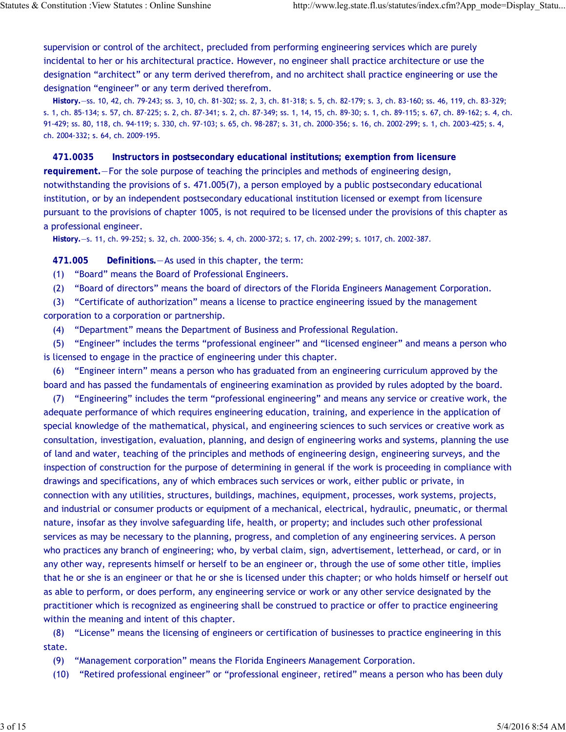supervision or control of the architect, precluded from performing engineering services which are purely incidental to her or his architectural practice. However, no engineer shall practice architecture or use the designation "architect" or any term derived therefrom, and no architect shall practice engineering or use the designation "engineer" or any term derived therefrom.

**History.**—ss. 10, 42, ch. 79-243; ss. 3, 10, ch. 81-302; ss. 2, 3, ch. 81-318; s. 5, ch. 82-179; s. 3, ch. 83-160; ss. 46, 119, ch. 83-329; s. 1, ch. 85-134; s. 57, ch. 87-225; s. 2, ch. 87-341; s. 2, ch. 87-349; ss. 1, 14, 15, ch. 89-30; s. 1, ch. 89-115; s. 67, ch. 89-162; s. 4, ch. 91-429; ss. 80, 118, ch. 94-119; s. 330, ch. 97-103; s. 65, ch. 98-287; s. 31, ch. 2000-356; s. 16, ch. 2002-299; s. 1, ch. 2003-425; s. 4, ch. 2004-332; s. 64, ch. 2009-195.

**471.0035 Instructors in postsecondary educational institutions; exemption from licensure requirement.**—For the sole purpose of teaching the principles and methods of engineering design, notwithstanding the provisions of s. 471.005(7), a person employed by a public postsecondary educational institution, or by an independent postsecondary educational institution licensed or exempt from licensure pursuant to the provisions of chapter 1005, is not required to be licensed under the provisions of this chapter as a professional engineer.

**History.**—s. 11, ch. 99-252; s. 32, ch. 2000-356; s. 4, ch. 2000-372; s. 17, ch. 2002-299; s. 1017, ch. 2002-387.

**471.005 Definitions.**—As used in this chapter, the term:

(1) "Board" means the Board of Professional Engineers.

(2) "Board of directors" means the board of directors of the Florida Engineers Management Corporation.

(3) "Certificate of authorization" means a license to practice engineering issued by the management corporation to a corporation or partnership.

(4) "Department" means the Department of Business and Professional Regulation.

(5) "Engineer" includes the terms "professional engineer" and "licensed engineer" and means a person who is licensed to engage in the practice of engineering under this chapter.

(6) "Engineer intern" means a person who has graduated from an engineering curriculum approved by the board and has passed the fundamentals of engineering examination as provided by rules adopted by the board.

(7) "Engineering" includes the term "professional engineering" and means any service or creative work, the adequate performance of which requires engineering education, training, and experience in the application of special knowledge of the mathematical, physical, and engineering sciences to such services or creative work as consultation, investigation, evaluation, planning, and design of engineering works and systems, planning the use of land and water, teaching of the principles and methods of engineering design, engineering surveys, and the inspection of construction for the purpose of determining in general if the work is proceeding in compliance with drawings and specifications, any of which embraces such services or work, either public or private, in connection with any utilities, structures, buildings, machines, equipment, processes, work systems, projects, and industrial or consumer products or equipment of a mechanical, electrical, hydraulic, pneumatic, or thermal nature, insofar as they involve safeguarding life, health, or property; and includes such other professional services as may be necessary to the planning, progress, and completion of any engineering services. A person who practices any branch of engineering; who, by verbal claim, sign, advertisement, letterhead, or card, or in any other way, represents himself or herself to be an engineer or, through the use of some other title, implies that he or she is an engineer or that he or she is licensed under this chapter; or who holds himself or herself out as able to perform, or does perform, any engineering service or work or any other service designated by the practitioner which is recognized as engineering shall be construed to practice or offer to practice engineering within the meaning and intent of this chapter.

(8) "License" means the licensing of engineers or certification of businesses to practice engineering in this state.

- (9) "Management corporation" means the Florida Engineers Management Corporation.
- (10) "Retired professional engineer" or "professional engineer, retired" means a person who has been duly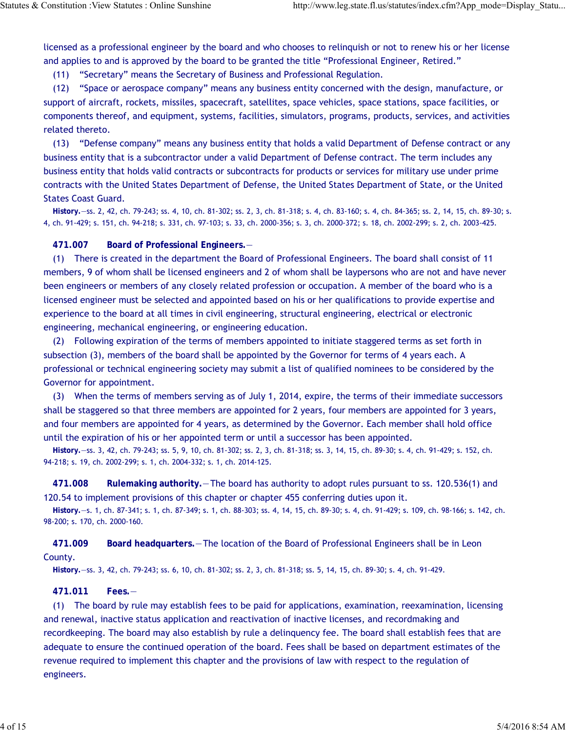licensed as a professional engineer by the board and who chooses to relinquish or not to renew his or her license and applies to and is approved by the board to be granted the title "Professional Engineer, Retired."

(11) "Secretary" means the Secretary of Business and Professional Regulation.

(12) "Space or aerospace company" means any business entity concerned with the design, manufacture, or support of aircraft, rockets, missiles, spacecraft, satellites, space vehicles, space stations, space facilities, or components thereof, and equipment, systems, facilities, simulators, programs, products, services, and activities related thereto.

(13) "Defense company" means any business entity that holds a valid Department of Defense contract or any business entity that is a subcontractor under a valid Department of Defense contract. The term includes any business entity that holds valid contracts or subcontracts for products or services for military use under prime contracts with the United States Department of Defense, the United States Department of State, or the United States Coast Guard.

**History.**—ss. 2, 42, ch. 79-243; ss. 4, 10, ch. 81-302; ss. 2, 3, ch. 81-318; s. 4, ch. 83-160; s. 4, ch. 84-365; ss. 2, 14, 15, ch. 89-30; s. 4, ch. 91-429; s. 151, ch. 94-218; s. 331, ch. 97-103; s. 33, ch. 2000-356; s. 3, ch. 2000-372; s. 18, ch. 2002-299; s. 2, ch. 2003-425.

**471.007 Board of Professional Engineers.**—

(1) There is created in the department the Board of Professional Engineers. The board shall consist of 11 members, 9 of whom shall be licensed engineers and 2 of whom shall be laypersons who are not and have never been engineers or members of any closely related profession or occupation. A member of the board who is a licensed engineer must be selected and appointed based on his or her qualifications to provide expertise and experience to the board at all times in civil engineering, structural engineering, electrical or electronic engineering, mechanical engineering, or engineering education.

(2) Following expiration of the terms of members appointed to initiate staggered terms as set forth in subsection (3), members of the board shall be appointed by the Governor for terms of 4 years each. A professional or technical engineering society may submit a list of qualified nominees to be considered by the Governor for appointment.

(3) When the terms of members serving as of July 1, 2014, expire, the terms of their immediate successors shall be staggered so that three members are appointed for 2 years, four members are appointed for 3 years, and four members are appointed for 4 years, as determined by the Governor. Each member shall hold office until the expiration of his or her appointed term or until a successor has been appointed.

**History.**—ss. 3, 42, ch. 79-243; ss. 5, 9, 10, ch. 81-302; ss. 2, 3, ch. 81-318; ss. 3, 14, 15, ch. 89-30; s. 4, ch. 91-429; s. 152, ch. 94-218; s. 19, ch. 2002-299; s. 1, ch. 2004-332; s. 1, ch. 2014-125.

**471.008 Rulemaking authority.**—The board has authority to adopt rules pursuant to ss. 120.536(1) and 120.54 to implement provisions of this chapter or chapter 455 conferring duties upon it.

**History.**—s. 1, ch. 87-341; s. 1, ch. 87-349; s. 1, ch. 88-303; ss. 4, 14, 15, ch. 89-30; s. 4, ch. 91-429; s. 109, ch. 98-166; s. 142, ch. 98-200; s. 170, ch. 2000-160.

**471.009 Board headquarters.**—The location of the Board of Professional Engineers shall be in Leon County.

**History.**—ss. 3, 42, ch. 79-243; ss. 6, 10, ch. 81-302; ss. 2, 3, ch. 81-318; ss. 5, 14, 15, ch. 89-30; s. 4, ch. 91-429.

**471.011 Fees.**—

(1) The board by rule may establish fees to be paid for applications, examination, reexamination, licensing and renewal, inactive status application and reactivation of inactive licenses, and recordmaking and recordkeeping. The board may also establish by rule a delinquency fee. The board shall establish fees that are adequate to ensure the continued operation of the board. Fees shall be based on department estimates of the revenue required to implement this chapter and the provisions of law with respect to the regulation of engineers.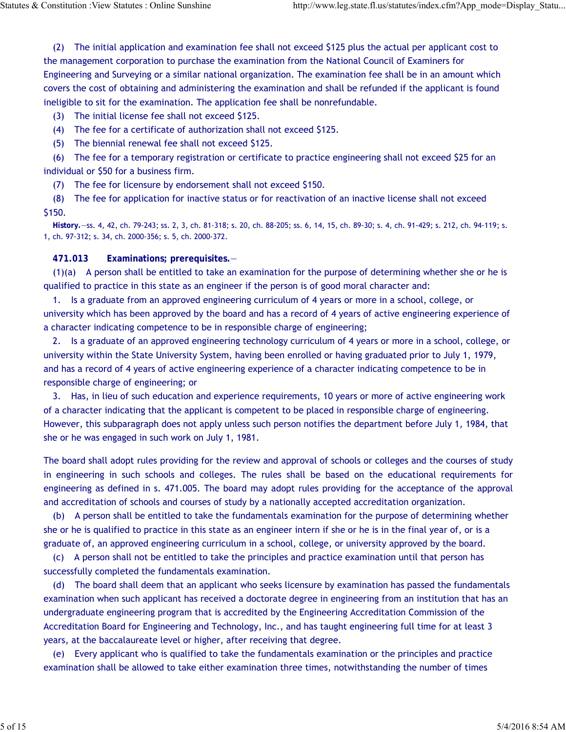(2) The initial application and examination fee shall not exceed \$125 plus the actual per applicant cost to the management corporation to purchase the examination from the National Council of Examiners for Engineering and Surveying or a similar national organization. The examination fee shall be in an amount which covers the cost of obtaining and administering the examination and shall be refunded if the applicant is found ineligible to sit for the examination. The application fee shall be nonrefundable.

(3) The initial license fee shall not exceed \$125.

(4) The fee for a certificate of authorization shall not exceed \$125.

(5) The biennial renewal fee shall not exceed \$125.

(6) The fee for a temporary registration or certificate to practice engineering shall not exceed \$25 for an individual or \$50 for a business firm.

(7) The fee for licensure by endorsement shall not exceed \$150.

(8) The fee for application for inactive status or for reactivation of an inactive license shall not exceed \$150.

**History.**—ss. 4, 42, ch. 79-243; ss. 2, 3, ch. 81-318; s. 20, ch. 88-205; ss. 6, 14, 15, ch. 89-30; s. 4, ch. 91-429; s. 212, ch. 94-119; s. 1, ch. 97-312; s. 34, ch. 2000-356; s. 5, ch. 2000-372.

**471.013 Examinations; prerequisites.**—

 $(1)(a)$  A person shall be entitled to take an examination for the purpose of determining whether she or he is qualified to practice in this state as an engineer if the person is of good moral character and:

1. Is a graduate from an approved engineering curriculum of 4 years or more in a school, college, or university which has been approved by the board and has a record of 4 years of active engineering experience of a character indicating competence to be in responsible charge of engineering;

2. Is a graduate of an approved engineering technology curriculum of 4 years or more in a school, college, or university within the State University System, having been enrolled or having graduated prior to July 1, 1979, and has a record of 4 years of active engineering experience of a character indicating competence to be in responsible charge of engineering; or

3. Has, in lieu of such education and experience requirements, 10 years or more of active engineering work of a character indicating that the applicant is competent to be placed in responsible charge of engineering. However, this subparagraph does not apply unless such person notifies the department before July 1, 1984, that she or he was engaged in such work on July 1, 1981.

The board shall adopt rules providing for the review and approval of schools or colleges and the courses of study in engineering in such schools and colleges. The rules shall be based on the educational requirements for engineering as defined in s. 471.005. The board may adopt rules providing for the acceptance of the approval and accreditation of schools and courses of study by a nationally accepted accreditation organization.

(b) A person shall be entitled to take the fundamentals examination for the purpose of determining whether she or he is qualified to practice in this state as an engineer intern if she or he is in the final year of, or is a graduate of, an approved engineering curriculum in a school, college, or university approved by the board.

(c) A person shall not be entitled to take the principles and practice examination until that person has successfully completed the fundamentals examination.

(d) The board shall deem that an applicant who seeks licensure by examination has passed the fundamentals examination when such applicant has received a doctorate degree in engineering from an institution that has an undergraduate engineering program that is accredited by the Engineering Accreditation Commission of the Accreditation Board for Engineering and Technology, Inc., and has taught engineering full time for at least 3 years, at the baccalaureate level or higher, after receiving that degree.

(e) Every applicant who is qualified to take the fundamentals examination or the principles and practice examination shall be allowed to take either examination three times, notwithstanding the number of times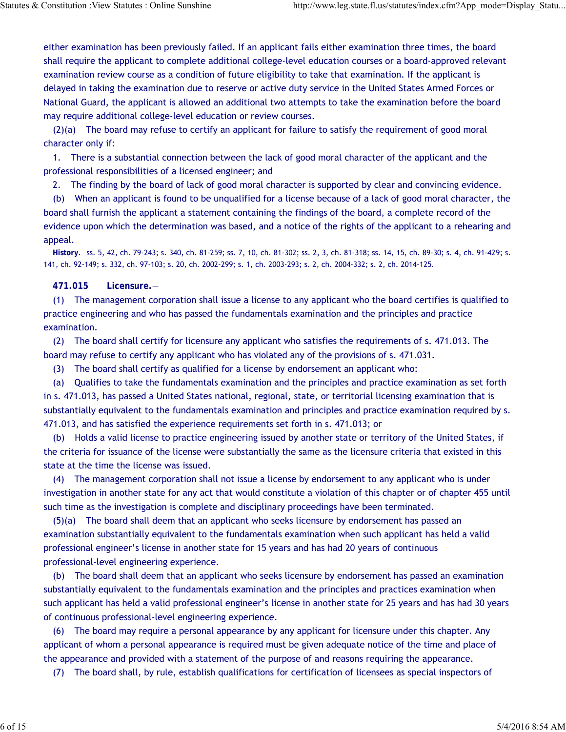either examination has been previously failed. If an applicant fails either examination three times, the board shall require the applicant to complete additional college-level education courses or a board-approved relevant examination review course as a condition of future eligibility to take that examination. If the applicant is delayed in taking the examination due to reserve or active duty service in the United States Armed Forces or National Guard, the applicant is allowed an additional two attempts to take the examination before the board may require additional college-level education or review courses.

(2)(a) The board may refuse to certify an applicant for failure to satisfy the requirement of good moral character only if:

1. There is a substantial connection between the lack of good moral character of the applicant and the professional responsibilities of a licensed engineer; and

2. The finding by the board of lack of good moral character is supported by clear and convincing evidence.

(b) When an applicant is found to be unqualified for a license because of a lack of good moral character, the board shall furnish the applicant a statement containing the findings of the board, a complete record of the evidence upon which the determination was based, and a notice of the rights of the applicant to a rehearing and appeal.

**History.**—ss. 5, 42, ch. 79-243; s. 340, ch. 81-259; ss. 7, 10, ch. 81-302; ss. 2, 3, ch. 81-318; ss. 14, 15, ch. 89-30; s. 4, ch. 91-429; s. 141, ch. 92-149; s. 332, ch. 97-103; s. 20, ch. 2002-299; s. 1, ch. 2003-293; s. 2, ch. 2004-332; s. 2, ch. 2014-125.

#### **471.015 Licensure.**—

(1) The management corporation shall issue a license to any applicant who the board certifies is qualified to practice engineering and who has passed the fundamentals examination and the principles and practice examination.

(2) The board shall certify for licensure any applicant who satisfies the requirements of s. 471.013. The board may refuse to certify any applicant who has violated any of the provisions of s. 471.031.

(3) The board shall certify as qualified for a license by endorsement an applicant who:

(a) Qualifies to take the fundamentals examination and the principles and practice examination as set forth in s. 471.013, has passed a United States national, regional, state, or territorial licensing examination that is substantially equivalent to the fundamentals examination and principles and practice examination required by s. 471.013, and has satisfied the experience requirements set forth in s. 471.013; or

(b) Holds a valid license to practice engineering issued by another state or territory of the United States, if the criteria for issuance of the license were substantially the same as the licensure criteria that existed in this state at the time the license was issued.

(4) The management corporation shall not issue a license by endorsement to any applicant who is under investigation in another state for any act that would constitute a violation of this chapter or of chapter 455 until such time as the investigation is complete and disciplinary proceedings have been terminated.

(5)(a) The board shall deem that an applicant who seeks licensure by endorsement has passed an examination substantially equivalent to the fundamentals examination when such applicant has held a valid professional engineer's license in another state for 15 years and has had 20 years of continuous professional-level engineering experience.

(b) The board shall deem that an applicant who seeks licensure by endorsement has passed an examination substantially equivalent to the fundamentals examination and the principles and practices examination when such applicant has held a valid professional engineer's license in another state for 25 years and has had 30 years of continuous professional-level engineering experience.

(6) The board may require a personal appearance by any applicant for licensure under this chapter. Any applicant of whom a personal appearance is required must be given adequate notice of the time and place of the appearance and provided with a statement of the purpose of and reasons requiring the appearance.

(7) The board shall, by rule, establish qualifications for certification of licensees as special inspectors of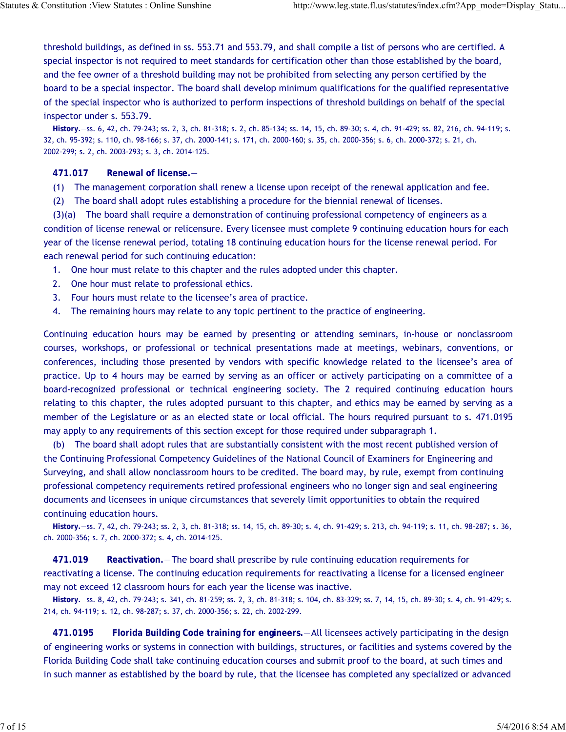threshold buildings, as defined in ss. 553.71 and 553.79, and shall compile a list of persons who are certified. A special inspector is not required to meet standards for certification other than those established by the board, and the fee owner of a threshold building may not be prohibited from selecting any person certified by the board to be a special inspector. The board shall develop minimum qualifications for the qualified representative of the special inspector who is authorized to perform inspections of threshold buildings on behalf of the special inspector under s. 553.79.

**History.**—ss. 6, 42, ch. 79-243; ss. 2, 3, ch. 81-318; s. 2, ch. 85-134; ss. 14, 15, ch. 89-30; s. 4, ch. 91-429; ss. 82, 216, ch. 94-119; s. 32, ch. 95-392; s. 110, ch. 98-166; s. 37, ch. 2000-141; s. 171, ch. 2000-160; s. 35, ch. 2000-356; s. 6, ch. 2000-372; s. 21, ch. 2002-299; s. 2, ch. 2003-293; s. 3, ch. 2014-125.

## **471.017 Renewal of license.**—

- (1) The management corporation shall renew a license upon receipt of the renewal application and fee.
- (2) The board shall adopt rules establishing a procedure for the biennial renewal of licenses.

(3)(a) The board shall require a demonstration of continuing professional competency of engineers as a condition of license renewal or relicensure. Every licensee must complete 9 continuing education hours for each year of the license renewal period, totaling 18 continuing education hours for the license renewal period. For each renewal period for such continuing education:

- 1. One hour must relate to this chapter and the rules adopted under this chapter.
- 2. One hour must relate to professional ethics.
- 3. Four hours must relate to the licensee's area of practice.
- 4. The remaining hours may relate to any topic pertinent to the practice of engineering.

Continuing education hours may be earned by presenting or attending seminars, in-house or nonclassroom courses, workshops, or professional or technical presentations made at meetings, webinars, conventions, or conferences, including those presented by vendors with specific knowledge related to the licensee's area of practice. Up to 4 hours may be earned by serving as an officer or actively participating on a committee of a board-recognized professional or technical engineering society. The 2 required continuing education hours relating to this chapter, the rules adopted pursuant to this chapter, and ethics may be earned by serving as a member of the Legislature or as an elected state or local official. The hours required pursuant to s. 471.0195 may apply to any requirements of this section except for those required under subparagraph 1.

(b) The board shall adopt rules that are substantially consistent with the most recent published version of the Continuing Professional Competency Guidelines of the National Council of Examiners for Engineering and Surveying, and shall allow nonclassroom hours to be credited. The board may, by rule, exempt from continuing professional competency requirements retired professional engineers who no longer sign and seal engineering documents and licensees in unique circumstances that severely limit opportunities to obtain the required continuing education hours.

**History.**—ss. 7, 42, ch. 79-243; ss. 2, 3, ch. 81-318; ss. 14, 15, ch. 89-30; s. 4, ch. 91-429; s. 213, ch. 94-119; s. 11, ch. 98-287; s. 36, ch. 2000-356; s. 7, ch. 2000-372; s. 4, ch. 2014-125.

**471.019 Reactivation.**—The board shall prescribe by rule continuing education requirements for reactivating a license. The continuing education requirements for reactivating a license for a licensed engineer may not exceed 12 classroom hours for each year the license was inactive.

**History.**—ss. 8, 42, ch. 79-243; s. 341, ch. 81-259; ss. 2, 3, ch. 81-318; s. 104, ch. 83-329; ss. 7, 14, 15, ch. 89-30; s. 4, ch. 91-429; s. 214, ch. 94-119; s. 12, ch. 98-287; s. 37, ch. 2000-356; s. 22, ch. 2002-299.

**471.0195 Florida Building Code training for engineers.**—All licensees actively participating in the design of engineering works or systems in connection with buildings, structures, or facilities and systems covered by the Florida Building Code shall take continuing education courses and submit proof to the board, at such times and in such manner as established by the board by rule, that the licensee has completed any specialized or advanced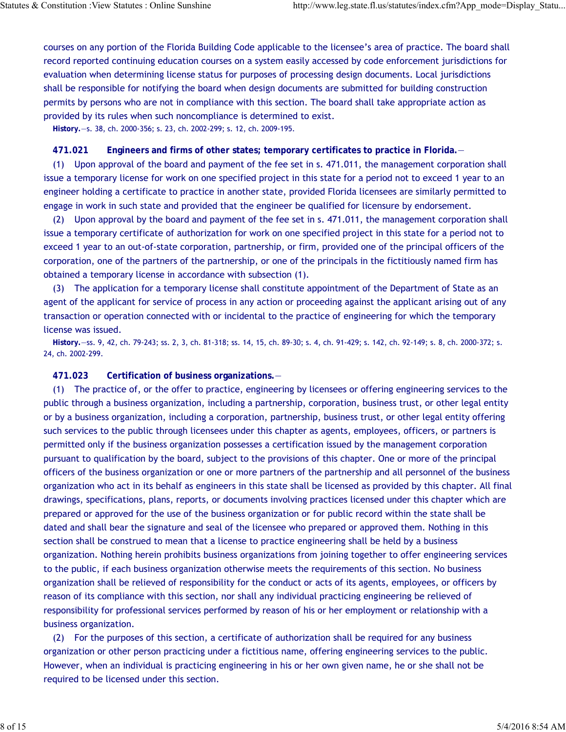courses on any portion of the Florida Building Code applicable to the licensee's area of practice. The board shall record reported continuing education courses on a system easily accessed by code enforcement jurisdictions for evaluation when determining license status for purposes of processing design documents. Local jurisdictions shall be responsible for notifying the board when design documents are submitted for building construction permits by persons who are not in compliance with this section. The board shall take appropriate action as provided by its rules when such noncompliance is determined to exist.

**History.**—s. 38, ch. 2000-356; s. 23, ch. 2002-299; s. 12, ch. 2009-195.

### **471.021 Engineers and firms of other states; temporary certificates to practice in Florida.**—

(1) Upon approval of the board and payment of the fee set in s. 471.011, the management corporation shall issue a temporary license for work on one specified project in this state for a period not to exceed 1 year to an engineer holding a certificate to practice in another state, provided Florida licensees are similarly permitted to engage in work in such state and provided that the engineer be qualified for licensure by endorsement.

(2) Upon approval by the board and payment of the fee set in s. 471.011, the management corporation shall issue a temporary certificate of authorization for work on one specified project in this state for a period not to exceed 1 year to an out-of-state corporation, partnership, or firm, provided one of the principal officers of the corporation, one of the partners of the partnership, or one of the principals in the fictitiously named firm has obtained a temporary license in accordance with subsection (1).

(3) The application for a temporary license shall constitute appointment of the Department of State as an agent of the applicant for service of process in any action or proceeding against the applicant arising out of any transaction or operation connected with or incidental to the practice of engineering for which the temporary license was issued.

**History.**—ss. 9, 42, ch. 79-243; ss. 2, 3, ch. 81-318; ss. 14, 15, ch. 89-30; s. 4, ch. 91-429; s. 142, ch. 92-149; s. 8, ch. 2000-372; s. 24, ch. 2002-299.

**471.023 Certification of business organizations.**—

(1) The practice of, or the offer to practice, engineering by licensees or offering engineering services to the public through a business organization, including a partnership, corporation, business trust, or other legal entity or by a business organization, including a corporation, partnership, business trust, or other legal entity offering such services to the public through licensees under this chapter as agents, employees, officers, or partners is permitted only if the business organization possesses a certification issued by the management corporation pursuant to qualification by the board, subject to the provisions of this chapter. One or more of the principal officers of the business organization or one or more partners of the partnership and all personnel of the business organization who act in its behalf as engineers in this state shall be licensed as provided by this chapter. All final drawings, specifications, plans, reports, or documents involving practices licensed under this chapter which are prepared or approved for the use of the business organization or for public record within the state shall be dated and shall bear the signature and seal of the licensee who prepared or approved them. Nothing in this section shall be construed to mean that a license to practice engineering shall be held by a business organization. Nothing herein prohibits business organizations from joining together to offer engineering services to the public, if each business organization otherwise meets the requirements of this section. No business organization shall be relieved of responsibility for the conduct or acts of its agents, employees, or officers by reason of its compliance with this section, nor shall any individual practicing engineering be relieved of responsibility for professional services performed by reason of his or her employment or relationship with a business organization.

(2) For the purposes of this section, a certificate of authorization shall be required for any business organization or other person practicing under a fictitious name, offering engineering services to the public. However, when an individual is practicing engineering in his or her own given name, he or she shall not be required to be licensed under this section.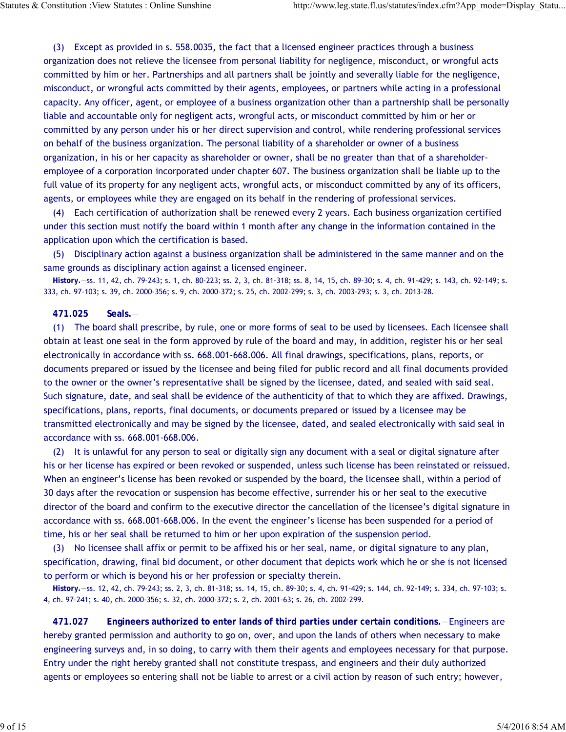(3) Except as provided in s. 558.0035, the fact that a licensed engineer practices through a business organization does not relieve the licensee from personal liability for negligence, misconduct, or wrongful acts committed by him or her. Partnerships and all partners shall be jointly and severally liable for the negligence, misconduct, or wrongful acts committed by their agents, employees, or partners while acting in a professional capacity. Any officer, agent, or employee of a business organization other than a partnership shall be personally liable and accountable only for negligent acts, wrongful acts, or misconduct committed by him or her or committed by any person under his or her direct supervision and control, while rendering professional services on behalf of the business organization. The personal liability of a shareholder or owner of a business organization, in his or her capacity as shareholder or owner, shall be no greater than that of a shareholderemployee of a corporation incorporated under chapter 607. The business organization shall be liable up to the full value of its property for any negligent acts, wrongful acts, or misconduct committed by any of its officers, agents, or employees while they are engaged on its behalf in the rendering of professional services.

(4) Each certification of authorization shall be renewed every 2 years. Each business organization certified under this section must notify the board within 1 month after any change in the information contained in the application upon which the certification is based.

(5) Disciplinary action against a business organization shall be administered in the same manner and on the same grounds as disciplinary action against a licensed engineer.

**History.**—ss. 11, 42, ch. 79-243; s. 1, ch. 80-223; ss. 2, 3, ch. 81-318; ss. 8, 14, 15, ch. 89-30; s. 4, ch. 91-429; s. 143, ch. 92-149; s. 333, ch. 97-103; s. 39, ch. 2000-356; s. 9, ch. 2000-372; s. 25, ch. 2002-299; s. 3, ch. 2003-293; s. 3, ch. 2013-28.

#### **471.025 Seals.**—

(1) The board shall prescribe, by rule, one or more forms of seal to be used by licensees. Each licensee shall obtain at least one seal in the form approved by rule of the board and may, in addition, register his or her seal electronically in accordance with ss. 668.001-668.006. All final drawings, specifications, plans, reports, or documents prepared or issued by the licensee and being filed for public record and all final documents provided to the owner or the owner's representative shall be signed by the licensee, dated, and sealed with said seal. Such signature, date, and seal shall be evidence of the authenticity of that to which they are affixed. Drawings, specifications, plans, reports, final documents, or documents prepared or issued by a licensee may be transmitted electronically and may be signed by the licensee, dated, and sealed electronically with said seal in accordance with ss. 668.001-668.006.

(2) It is unlawful for any person to seal or digitally sign any document with a seal or digital signature after his or her license has expired or been revoked or suspended, unless such license has been reinstated or reissued. When an engineer's license has been revoked or suspended by the board, the licensee shall, within a period of 30 days after the revocation or suspension has become effective, surrender his or her seal to the executive director of the board and confirm to the executive director the cancellation of the licensee's digital signature in accordance with ss. 668.001-668.006. In the event the engineer's license has been suspended for a period of time, his or her seal shall be returned to him or her upon expiration of the suspension period.

(3) No licensee shall affix or permit to be affixed his or her seal, name, or digital signature to any plan, specification, drawing, final bid document, or other document that depicts work which he or she is not licensed to perform or which is beyond his or her profession or specialty therein.

**History.**—ss. 12, 42, ch. 79-243; ss. 2, 3, ch. 81-318; ss. 14, 15, ch. 89-30; s. 4, ch. 91-429; s. 144, ch. 92-149; s. 334, ch. 97-103; s. 4, ch. 97-241; s. 40, ch. 2000-356; s. 32, ch. 2000-372; s. 2, ch. 2001-63; s. 26, ch. 2002-299.

**471.027 Engineers authorized to enter lands of third parties under certain conditions.**—Engineers are hereby granted permission and authority to go on, over, and upon the lands of others when necessary to make engineering surveys and, in so doing, to carry with them their agents and employees necessary for that purpose. Entry under the right hereby granted shall not constitute trespass, and engineers and their duly authorized agents or employees so entering shall not be liable to arrest or a civil action by reason of such entry; however,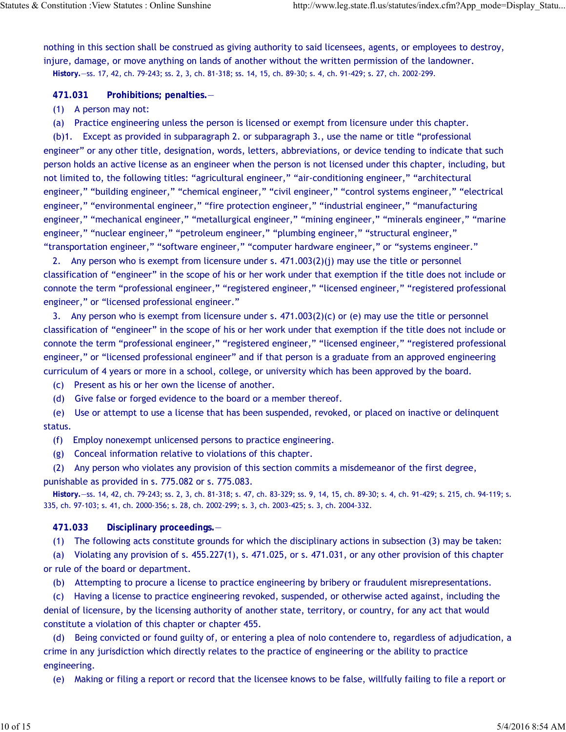nothing in this section shall be construed as giving authority to said licensees, agents, or employees to destroy, injure, damage, or move anything on lands of another without the written permission of the landowner. **History.**—ss. 17, 42, ch. 79-243; ss. 2, 3, ch. 81-318; ss. 14, 15, ch. 89-30; s. 4, ch. 91-429; s. 27, ch. 2002-299.

**471.031 Prohibitions; penalties.**—

- (1) A person may not:
- (a) Practice engineering unless the person is licensed or exempt from licensure under this chapter.

(b)1. Except as provided in subparagraph 2. or subparagraph 3., use the name or title "professional engineer" or any other title, designation, words, letters, abbreviations, or device tending to indicate that such person holds an active license as an engineer when the person is not licensed under this chapter, including, but not limited to, the following titles: "agricultural engineer," "air-conditioning engineer," "architectural engineer," "building engineer," "chemical engineer," "civil engineer," "control systems engineer," "electrical engineer," "environmental engineer," "fire protection engineer," "industrial engineer," "manufacturing engineer," "mechanical engineer," "metallurgical engineer," "mining engineer," "minerals engineer," "marine engineer," "nuclear engineer," "petroleum engineer," "plumbing engineer," "structural engineer," "transportation engineer," "software engineer," "computer hardware engineer," or "systems engineer."

2. Any person who is exempt from licensure under s. 471.003(2)(j) may use the title or personnel classification of "engineer" in the scope of his or her work under that exemption if the title does not include or connote the term "professional engineer," "registered engineer," "licensed engineer," "registered professional engineer," or "licensed professional engineer."

3. Any person who is exempt from licensure under s. 471.003(2)(c) or (e) may use the title or personnel classification of "engineer" in the scope of his or her work under that exemption if the title does not include or connote the term "professional engineer," "registered engineer," "licensed engineer," "registered professional engineer," or "licensed professional engineer" and if that person is a graduate from an approved engineering curriculum of 4 years or more in a school, college, or university which has been approved by the board.

(c) Present as his or her own the license of another.

(d) Give false or forged evidence to the board or a member thereof.

(e) Use or attempt to use a license that has been suspended, revoked, or placed on inactive or delinquent status.

(f) Employ nonexempt unlicensed persons to practice engineering.

(g) Conceal information relative to violations of this chapter.

(2) Any person who violates any provision of this section commits a misdemeanor of the first degree, punishable as provided in s. 775.082 or s. 775.083.

**History.**—ss. 14, 42, ch. 79-243; ss. 2, 3, ch. 81-318; s. 47, ch. 83-329; ss. 9, 14, 15, ch. 89-30; s. 4, ch. 91-429; s. 215, ch. 94-119; s. 335, ch. 97-103; s. 41, ch. 2000-356; s. 28, ch. 2002-299; s. 3, ch. 2003-425; s. 3, ch. 2004-332.

**471.033 Disciplinary proceedings.**—

(1) The following acts constitute grounds for which the disciplinary actions in subsection (3) may be taken:

(a) Violating any provision of s. 455.227(1), s. 471.025, or s. 471.031, or any other provision of this chapter or rule of the board or department.

(b) Attempting to procure a license to practice engineering by bribery or fraudulent misrepresentations.

(c) Having a license to practice engineering revoked, suspended, or otherwise acted against, including the denial of licensure, by the licensing authority of another state, territory, or country, for any act that would constitute a violation of this chapter or chapter 455.

(d) Being convicted or found guilty of, or entering a plea of nolo contendere to, regardless of adjudication, a crime in any jurisdiction which directly relates to the practice of engineering or the ability to practice engineering.

(e) Making or filing a report or record that the licensee knows to be false, willfully failing to file a report or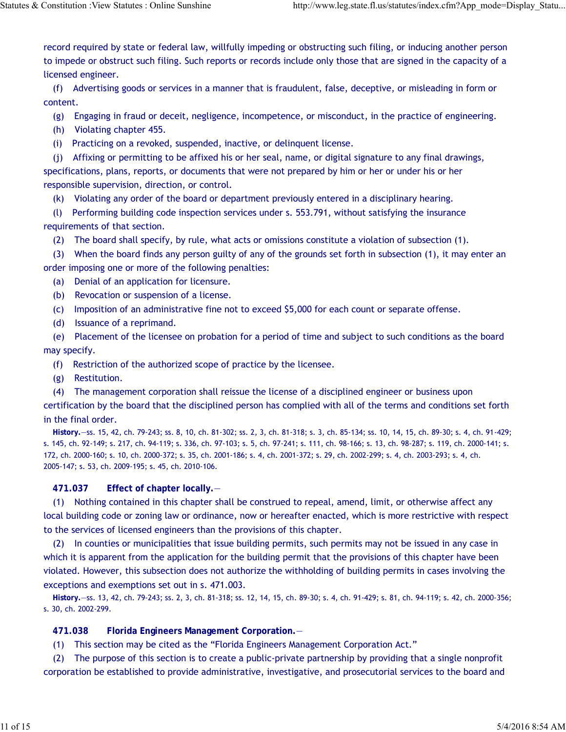record required by state or federal law, willfully impeding or obstructing such filing, or inducing another person to impede or obstruct such filing. Such reports or records include only those that are signed in the capacity of a licensed engineer.

(f) Advertising goods or services in a manner that is fraudulent, false, deceptive, or misleading in form or content.

(g) Engaging in fraud or deceit, negligence, incompetence, or misconduct, in the practice of engineering.

(h) Violating chapter 455.

(i) Practicing on a revoked, suspended, inactive, or delinquent license.

(j) Affixing or permitting to be affixed his or her seal, name, or digital signature to any final drawings, specifications, plans, reports, or documents that were not prepared by him or her or under his or her responsible supervision, direction, or control.

(k) Violating any order of the board or department previously entered in a disciplinary hearing.

(l) Performing building code inspection services under s. 553.791, without satisfying the insurance requirements of that section.

(2) The board shall specify, by rule, what acts or omissions constitute a violation of subsection (1).

(3) When the board finds any person guilty of any of the grounds set forth in subsection (1), it may enter an order imposing one or more of the following penalties:

(a) Denial of an application for licensure.

(b) Revocation or suspension of a license.

(c) Imposition of an administrative fine not to exceed \$5,000 for each count or separate offense.

(d) Issuance of a reprimand.

(e) Placement of the licensee on probation for a period of time and subject to such conditions as the board may specify.

(f) Restriction of the authorized scope of practice by the licensee.

(g) Restitution.

(4) The management corporation shall reissue the license of a disciplined engineer or business upon

certification by the board that the disciplined person has complied with all of the terms and conditions set forth in the final order.

**History.**—ss. 15, 42, ch. 79-243; ss. 8, 10, ch. 81-302; ss. 2, 3, ch. 81-318; s. 3, ch. 85-134; ss. 10, 14, 15, ch. 89-30; s. 4, ch. 91-429; s. 145, ch. 92-149; s. 217, ch. 94-119; s. 336, ch. 97-103; s. 5, ch. 97-241; s. 111, ch. 98-166; s. 13, ch. 98-287; s. 119, ch. 2000-141; s. 172, ch. 2000-160; s. 10, ch. 2000-372; s. 35, ch. 2001-186; s. 4, ch. 2001-372; s. 29, ch. 2002-299; s. 4, ch. 2003-293; s. 4, ch. 2005-147; s. 53, ch. 2009-195; s. 45, ch. 2010-106.

**471.037 Effect of chapter locally.**—

(1) Nothing contained in this chapter shall be construed to repeal, amend, limit, or otherwise affect any local building code or zoning law or ordinance, now or hereafter enacted, which is more restrictive with respect to the services of licensed engineers than the provisions of this chapter.

(2) In counties or municipalities that issue building permits, such permits may not be issued in any case in which it is apparent from the application for the building permit that the provisions of this chapter have been violated. However, this subsection does not authorize the withholding of building permits in cases involving the exceptions and exemptions set out in s. 471.003.

**History.**—ss. 13, 42, ch. 79-243; ss. 2, 3, ch. 81-318; ss. 12, 14, 15, ch. 89-30; s. 4, ch. 91-429; s. 81, ch. 94-119; s. 42, ch. 2000-356; s. 30, ch. 2002-299.

**471.038 Florida Engineers Management Corporation.**—

(1) This section may be cited as the "Florida Engineers Management Corporation Act."

(2) The purpose of this section is to create a public-private partnership by providing that a single nonprofit corporation be established to provide administrative, investigative, and prosecutorial services to the board and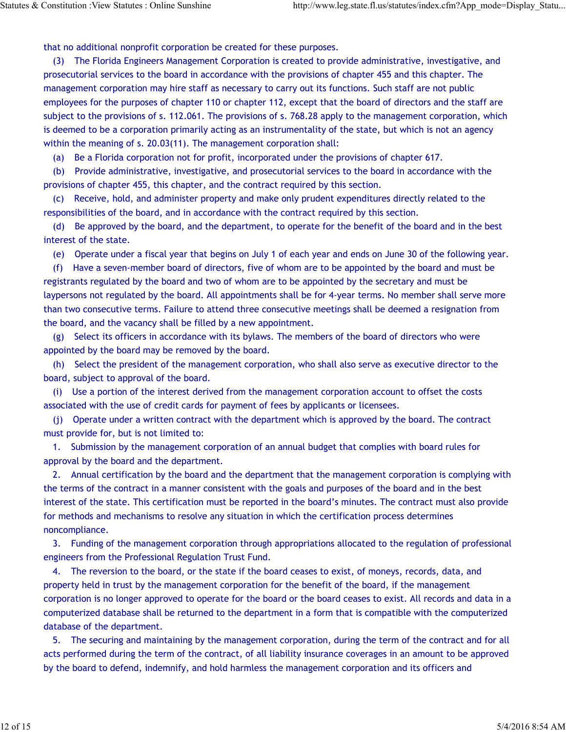that no additional nonprofit corporation be created for these purposes.

(3) The Florida Engineers Management Corporation is created to provide administrative, investigative, and prosecutorial services to the board in accordance with the provisions of chapter 455 and this chapter. The management corporation may hire staff as necessary to carry out its functions. Such staff are not public employees for the purposes of chapter 110 or chapter 112, except that the board of directors and the staff are subject to the provisions of s. 112.061. The provisions of s. 768.28 apply to the management corporation, which is deemed to be a corporation primarily acting as an instrumentality of the state, but which is not an agency within the meaning of s. 20.03(11). The management corporation shall:

(a) Be a Florida corporation not for profit, incorporated under the provisions of chapter 617.

(b) Provide administrative, investigative, and prosecutorial services to the board in accordance with the provisions of chapter 455, this chapter, and the contract required by this section.

(c) Receive, hold, and administer property and make only prudent expenditures directly related to the responsibilities of the board, and in accordance with the contract required by this section.

(d) Be approved by the board, and the department, to operate for the benefit of the board and in the best interest of the state.

(e) Operate under a fiscal year that begins on July 1 of each year and ends on June 30 of the following year.

(f) Have a seven-member board of directors, five of whom are to be appointed by the board and must be registrants regulated by the board and two of whom are to be appointed by the secretary and must be laypersons not regulated by the board. All appointments shall be for 4-year terms. No member shall serve more than two consecutive terms. Failure to attend three consecutive meetings shall be deemed a resignation from the board, and the vacancy shall be filled by a new appointment.

(g) Select its officers in accordance with its bylaws. The members of the board of directors who were appointed by the board may be removed by the board.

(h) Select the president of the management corporation, who shall also serve as executive director to the board, subject to approval of the board.

(i) Use a portion of the interest derived from the management corporation account to offset the costs associated with the use of credit cards for payment of fees by applicants or licensees.

(j) Operate under a written contract with the department which is approved by the board. The contract must provide for, but is not limited to:

1. Submission by the management corporation of an annual budget that complies with board rules for approval by the board and the department.

2. Annual certification by the board and the department that the management corporation is complying with the terms of the contract in a manner consistent with the goals and purposes of the board and in the best interest of the state. This certification must be reported in the board's minutes. The contract must also provide for methods and mechanisms to resolve any situation in which the certification process determines noncompliance.

3. Funding of the management corporation through appropriations allocated to the regulation of professional engineers from the Professional Regulation Trust Fund.

4. The reversion to the board, or the state if the board ceases to exist, of moneys, records, data, and property held in trust by the management corporation for the benefit of the board, if the management corporation is no longer approved to operate for the board or the board ceases to exist. All records and data in a computerized database shall be returned to the department in a form that is compatible with the computerized database of the department.

5. The securing and maintaining by the management corporation, during the term of the contract and for all acts performed during the term of the contract, of all liability insurance coverages in an amount to be approved by the board to defend, indemnify, and hold harmless the management corporation and its officers and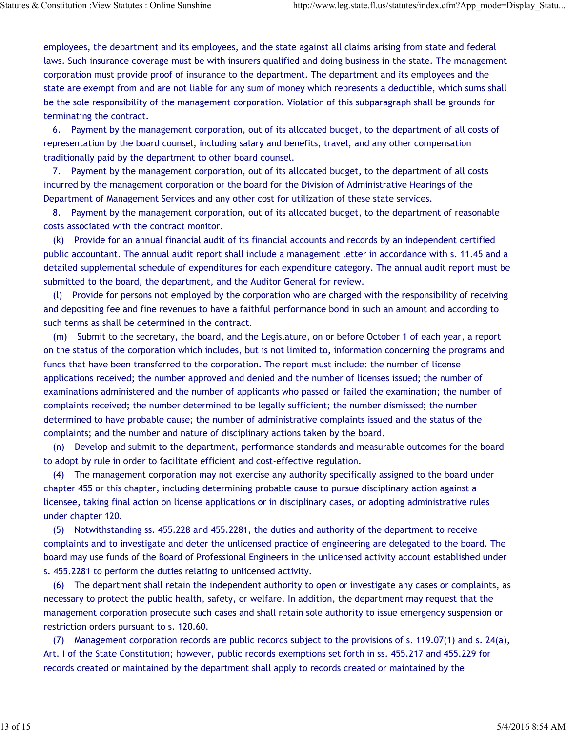employees, the department and its employees, and the state against all claims arising from state and federal laws. Such insurance coverage must be with insurers qualified and doing business in the state. The management corporation must provide proof of insurance to the department. The department and its employees and the state are exempt from and are not liable for any sum of money which represents a deductible, which sums shall be the sole responsibility of the management corporation. Violation of this subparagraph shall be grounds for terminating the contract.

6. Payment by the management corporation, out of its allocated budget, to the department of all costs of representation by the board counsel, including salary and benefits, travel, and any other compensation traditionally paid by the department to other board counsel.

7. Payment by the management corporation, out of its allocated budget, to the department of all costs incurred by the management corporation or the board for the Division of Administrative Hearings of the Department of Management Services and any other cost for utilization of these state services.

8. Payment by the management corporation, out of its allocated budget, to the department of reasonable costs associated with the contract monitor.

(k) Provide for an annual financial audit of its financial accounts and records by an independent certified public accountant. The annual audit report shall include a management letter in accordance with s. 11.45 and a detailed supplemental schedule of expenditures for each expenditure category. The annual audit report must be submitted to the board, the department, and the Auditor General for review.

(l) Provide for persons not employed by the corporation who are charged with the responsibility of receiving and depositing fee and fine revenues to have a faithful performance bond in such an amount and according to such terms as shall be determined in the contract.

(m) Submit to the secretary, the board, and the Legislature, on or before October 1 of each year, a report on the status of the corporation which includes, but is not limited to, information concerning the programs and funds that have been transferred to the corporation. The report must include: the number of license applications received; the number approved and denied and the number of licenses issued; the number of examinations administered and the number of applicants who passed or failed the examination; the number of complaints received; the number determined to be legally sufficient; the number dismissed; the number determined to have probable cause; the number of administrative complaints issued and the status of the complaints; and the number and nature of disciplinary actions taken by the board.

(n) Develop and submit to the department, performance standards and measurable outcomes for the board to adopt by rule in order to facilitate efficient and cost-effective regulation.

(4) The management corporation may not exercise any authority specifically assigned to the board under chapter 455 or this chapter, including determining probable cause to pursue disciplinary action against a licensee, taking final action on license applications or in disciplinary cases, or adopting administrative rules under chapter 120.

(5) Notwithstanding ss. 455.228 and 455.2281, the duties and authority of the department to receive complaints and to investigate and deter the unlicensed practice of engineering are delegated to the board. The board may use funds of the Board of Professional Engineers in the unlicensed activity account established under s. 455.2281 to perform the duties relating to unlicensed activity.

(6) The department shall retain the independent authority to open or investigate any cases or complaints, as necessary to protect the public health, safety, or welfare. In addition, the department may request that the management corporation prosecute such cases and shall retain sole authority to issue emergency suspension or restriction orders pursuant to s. 120.60.

(7) Management corporation records are public records subject to the provisions of s. 119.07(1) and s. 24(a), Art. I of the State Constitution; however, public records exemptions set forth in ss. 455.217 and 455.229 for records created or maintained by the department shall apply to records created or maintained by the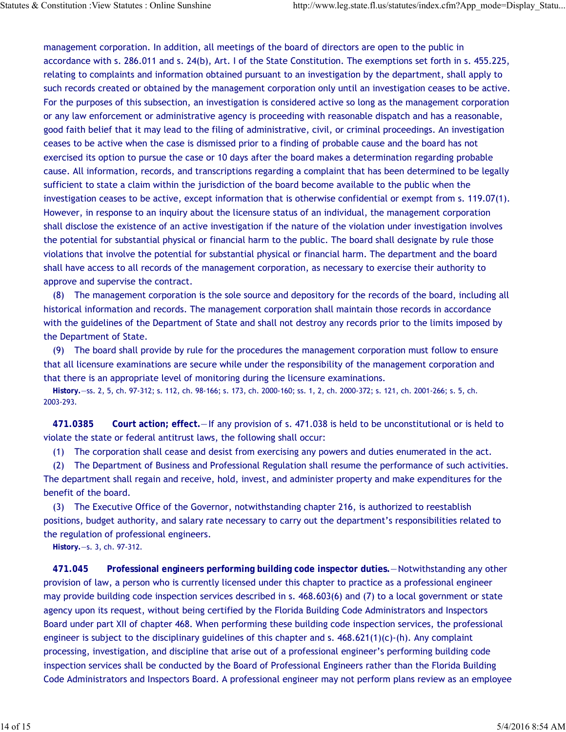management corporation. In addition, all meetings of the board of directors are open to the public in accordance with s. 286.011 and s. 24(b), Art. I of the State Constitution. The exemptions set forth in s. 455.225, relating to complaints and information obtained pursuant to an investigation by the department, shall apply to such records created or obtained by the management corporation only until an investigation ceases to be active. For the purposes of this subsection, an investigation is considered active so long as the management corporation or any law enforcement or administrative agency is proceeding with reasonable dispatch and has a reasonable, good faith belief that it may lead to the filing of administrative, civil, or criminal proceedings. An investigation ceases to be active when the case is dismissed prior to a finding of probable cause and the board has not exercised its option to pursue the case or 10 days after the board makes a determination regarding probable cause. All information, records, and transcriptions regarding a complaint that has been determined to be legally sufficient to state a claim within the jurisdiction of the board become available to the public when the investigation ceases to be active, except information that is otherwise confidential or exempt from s. 119.07(1). However, in response to an inquiry about the licensure status of an individual, the management corporation shall disclose the existence of an active investigation if the nature of the violation under investigation involves the potential for substantial physical or financial harm to the public. The board shall designate by rule those violations that involve the potential for substantial physical or financial harm. The department and the board shall have access to all records of the management corporation, as necessary to exercise their authority to approve and supervise the contract.

(8) The management corporation is the sole source and depository for the records of the board, including all historical information and records. The management corporation shall maintain those records in accordance with the guidelines of the Department of State and shall not destroy any records prior to the limits imposed by the Department of State.

(9) The board shall provide by rule for the procedures the management corporation must follow to ensure that all licensure examinations are secure while under the responsibility of the management corporation and that there is an appropriate level of monitoring during the licensure examinations.

**History.**—ss. 2, 5, ch. 97-312; s. 112, ch. 98-166; s. 173, ch. 2000-160; ss. 1, 2, ch. 2000-372; s. 121, ch. 2001-266; s. 5, ch. 2003-293.

**471.0385 Court action; effect.**—If any provision of s. 471.038 is held to be unconstitutional or is held to violate the state or federal antitrust laws, the following shall occur:

(1) The corporation shall cease and desist from exercising any powers and duties enumerated in the act.

(2) The Department of Business and Professional Regulation shall resume the performance of such activities. The department shall regain and receive, hold, invest, and administer property and make expenditures for the benefit of the board.

(3) The Executive Office of the Governor, notwithstanding chapter 216, is authorized to reestablish positions, budget authority, and salary rate necessary to carry out the department's responsibilities related to the regulation of professional engineers.

**History.**—s. 3, ch. 97-312.

**471.045 Professional engineers performing building code inspector duties.**—Notwithstanding any other provision of law, a person who is currently licensed under this chapter to practice as a professional engineer may provide building code inspection services described in s. 468.603(6) and (7) to a local government or state agency upon its request, without being certified by the Florida Building Code Administrators and Inspectors Board under part XII of chapter 468. When performing these building code inspection services, the professional engineer is subject to the disciplinary guidelines of this chapter and s.  $468.621(1)(c)$ -(h). Any complaint processing, investigation, and discipline that arise out of a professional engineer's performing building code inspection services shall be conducted by the Board of Professional Engineers rather than the Florida Building Code Administrators and Inspectors Board. A professional engineer may not perform plans review as an employee